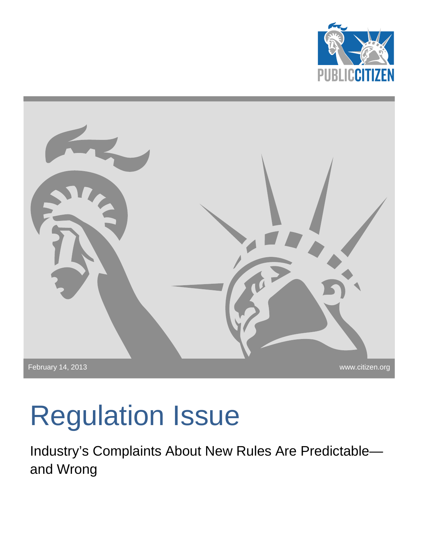



# Regulation Issue

Industry's Complaints About New Rules Are Predictable and Wrong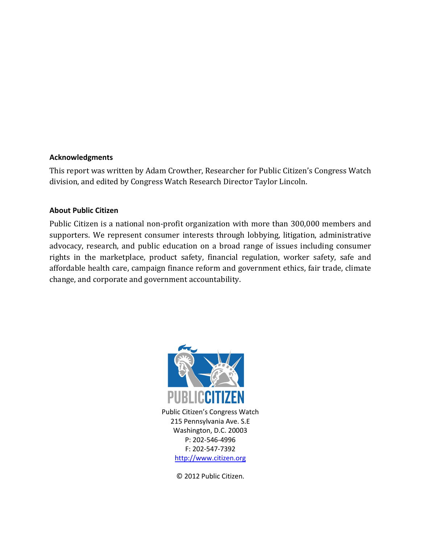#### **Acknowledgments**

This report was written by Adam Crowther, Researcher for Public Citizen's Congress Watch division, and edited by Congress Watch Research Director Taylor Lincoln.

#### **About Public Citizen**

Public Citizen is a national non-profit organization with more than 300,000 members and supporters. We represent consumer interests through lobbying, litigation, administrative advocacy, research, and public education on a broad range of issues including consumer rights in the marketplace, product safety, financial regulation, worker safety, safe and affordable health care, campaign finance reform and government ethics, fair trade, climate change, and corporate and government accountability.



Public Citizen's Congress Watch 215 Pennsylvania Ave. S.E Washington, D.C. 20003 P: 202-546-4996 F: 202-547-7392 [http://www.citizen.org](http://www.citizen.org/)

© 2012 Public Citizen.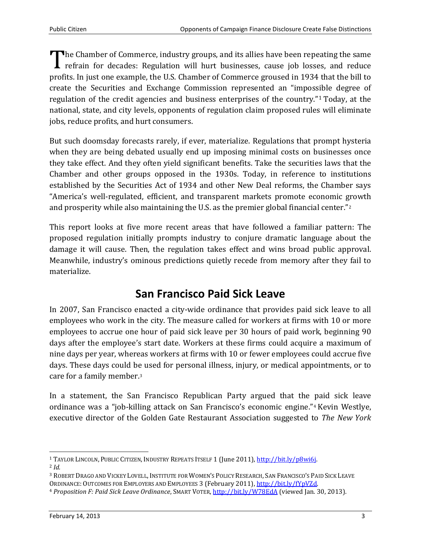**The Chamber of Commerce, industry groups, and its allies have been repeating the same I** refrain for decades: Regulation will hurt businesses, cause job losses, and reduce The Chamber of Commerce, industry groups, and its allies have been repeating the same<br>refrain for decades: Regulation will hurt businesses, cause job losses, and reduce<br>profits. In just one example, the U.S. Chamber of Com create the Securities and Exchange Commission represented an "impossible degree of regulation of the credit agencies and business enterprises of the country."[1](#page-2-0) Today, at the national, state, and city levels, opponents of regulation claim proposed rules will eliminate jobs, reduce profits, and hurt consumers.

But such doomsday forecasts rarely, if ever, materialize. Regulations that prompt hysteria when they are being debated usually end up imposing minimal costs on businesses once they take effect. And they often yield significant benefits. Take the securities laws that the Chamber and other groups opposed in the 1930s. Today, in reference to institutions established by the Securities Act of 1934 and other New Deal reforms, the Chamber says "America's well-regulated, efficient, and transparent markets promote economic growth and prosperity while also maintaining the U.S. as the premier global financial center.["2](#page-2-1)

This report looks at five more recent areas that have followed a familiar pattern: The proposed regulation initially prompts industry to conjure dramatic language about the damage it will cause. Then, the regulation takes effect and wins broad public approval. Meanwhile, industry's ominous predictions quietly recede from memory after they fail to materialize.

## **San Francisco Paid Sick Leave**

In 2007, San Francisco enacted a city-wide ordinance that provides paid sick leave to all employees who work in the city. The measure called for workers at firms with 10 or more employees to accrue one hour of paid sick leave per 30 hours of paid work, beginning 90 days after the employee's start date. Workers at these firms could acquire a maximum of nine days per year, whereas workers at firms with 10 or fewer employees could accrue five days. These days could be used for personal illness, injury, or medical appointments, or to care for a family member.[3](#page-2-2)

In a statement, the San Francisco Republican Party argued that the [p](#page-2-3)aid sick leave ordinance was a "job-killing attack on San Francisco's economic engine."4 Kevin Westlye, executive director of the Golden Gate Restaurant Association suggested to *The New York* 

<span id="page-2-0"></span><sup>&</sup>lt;sup>1</sup> TAYLOR LINCOLN, PUBLIC CITIZEN, INDUSTRY REPEATS ITSELF 1 (June 2011), [http://bit.ly/p8wi6j.](http://bit.ly/p8wi6j) <sup>2</sup> *Id.*

<span id="page-2-2"></span><span id="page-2-1"></span><sup>&</sup>lt;sup>3</sup> ROBERT DRAGO AND VICKEY LOVELL, INSTITUTE FOR WOMEN'S POLICY RESEARCH, SAN FRANCISCO'S PAID SICK LEAVE ORDINANCE: OUTCOMES FOR EMPLOYERS AND EMPLOYEES 3 (February 2011), http://bit.ly/fYpVZd.

<span id="page-2-3"></span><sup>&</sup>lt;sup>4</sup> Proposition F: Paid Sick Leave Ordinance, SMART VOTER, http://bit.ly/W78EdA (viewed Jan. 30, 2013).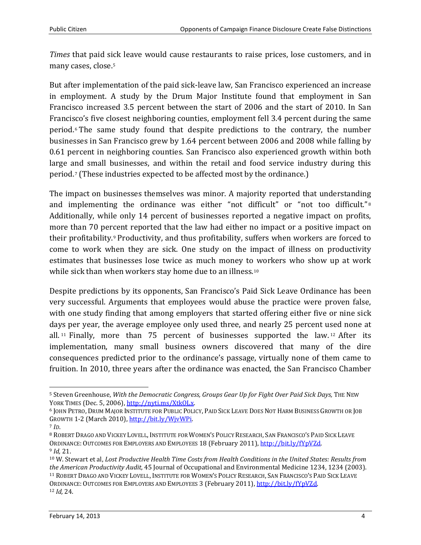*Times* that paid sick leave would cause restaurants to raise prices, lose customers, and in many cases, close.[5](#page-3-0)

But after implementation of the paid sick-leave law, San Francisco experienced an increase in employment. A study by the Drum Major Institute found that employment in San Francisco increased 3.5 percent between the start of 2006 and the start of 2010. In San Francisco's five closest neighboring counties, employment fell 3.4 percent during the same period.[6](#page-3-1) The same study found that despite predictions to the contrary, the number businesses in San Francisco grew by 1.64 percent between 2006 and 2008 while falling by 0.61 percent in neighboring counties. San Francisco also experienced growth within both large a[n](#page-3-2)d small businesses, and within the retail and food service industry during this period.7 (These industries expected to be affected most by the ordinance.)

The impact on businesses themselves was minor. A majority reported that understandin[g](#page-3-3) and implementing the ordinance was either "not difficult" or "not too difficult."<sup>8</sup> Additionally, while only 14 percent of businesses reported a negative impact on profits, more than 70 per[c](#page-3-4)ent reported that the law had either no impact or a positive impact on their profitability.<sup>9</sup> Productivity, and thus profitability, suffers when workers are forced to come to work when they are sick. One study on the impact of illness on productivity estimates that businesses lose twice as much money to workers who show up at work while sick than when workers stay home due to an illness.<sup>[10](#page-3-5)</sup>

Despite predictions by its opponents, San Francisco's Paid Sick Leave Ordinance has been very successful. Arguments that employees would abuse the practice were proven false, with one study finding that among employers that started offering either five or nine sick da[ys](#page-3-6) per year, the average employee only used three, and nearly 25 percent u[se](#page-3-7)d none at all. <sup>11</sup> Finally, more than 75 percent of businesses supported the law. <sup>12</sup> After its implementation, many small business owners discovered that many of the dire consequences predicted prior to the ordinance's passage, virtually none of them came to fruition. In 2010, three years after the ordinance was enacted, the San Francisco Chamber

<span id="page-3-0"></span><sup>&</sup>lt;sup>5</sup> Steven Greenhouse, *With the Democratic Congress, Groups Gear Up for Fight Over Paid Sick Days, The New*<br>YORK TIMES (Dec. 5, 2006), http://nyti.ms/XtkOLx.

<span id="page-3-1"></span><sup>&</sup>lt;sup>6</sup> JOHN PETRO, DRUM MAJOR INSTITUTE FOR PUBLIC POLICY, PAID SICK LEAVE DOES NOT HARM BUSINESS GROWTH OR JOB GROWTH 1-2 (March 2010), [http://bit.ly/WjvWPi.](http://bit.ly/WjvWPi)

<span id="page-3-2"></span><sup>7</sup> *ID*.

<span id="page-3-3"></span><sup>8</sup> ROBERT DRAGO AND VICKEY LOVELL, INSTITUTE FOR WOMEN'S POLICY RESEARCH, SAN FRANCISCO'S PAID SICK LEAVE ORDINANCE: OUTCOMES FOR EMPLOYERS AND EMPLOYEES 18 (February 2011), [http://bit.ly/fYpVZd.](http://bit.ly/fYpVZd) <sup>9</sup> *Id,* 21.

<span id="page-3-7"></span><span id="page-3-6"></span><span id="page-3-5"></span><span id="page-3-4"></span><sup>10</sup> W. Stewart et al, *Lost Productive Health Time Costs from Health Conditions in the United States: Results from the American Productivity Audit,* 45 Journal of Occupational and Environmental Medicine 1234, 1234 (2003). <sup>11</sup> ROBERT DRAGO AND VICKEY LOVELL, INSTITUTE FOR WOMEN'S POLICY RESEARCH, SAN FRANCISCO'S PAID SICK LEAVE ORDINANCE: OUTCOMES FOR EMPLOYERS AND EMPLOYEES 3 (February 2011)[, http://bit.ly/fYpVZd.](http://bit.ly/fYpVZd) <sup>12</sup> *Id,* 24.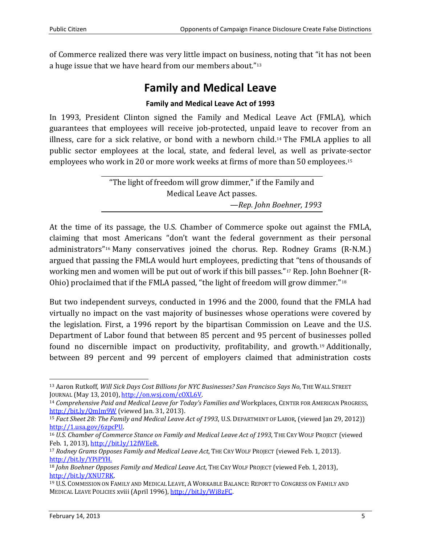of Commerce realized there was very little impact on business, noting that "it has not been a huge issue that we have heard from our members about."[13](#page-4-0)

## **Family and Medical Leave**

## **Family and Medical Leave Act of 1993**

In 1993, President Clinton signed the Family and Medical Leave Act (FMLA), which guarantees that employees will receive job-protected, unpaid leave to recover from an illness, care for a sick relative, or bond with a newborn child.[14](#page-4-1) The FMLA applies to all public sector employees at the local, state, and federal level, as well as private[-s](#page-4-2)ector employees who work in 20 or more work weeks at firms of more than 50 employees.15

> "The light of freedom will grow dimmer," if the Family and Medical Leave Act passes. *—Rep. John Boehner, 1993*

At the time of its passage, the U.S. Chamber of Commerce spoke out against the FMLA, claiming that [mo](#page-4-3)st Americans "don't want the federal government as their personal administrators"16 Many conservatives joined the chorus. Rep. Rodney Grams (R-N.M.) argued that passing the FMLA would hurt employees, predicting that "tens of thousands of working men and women will be put out of work if this bill passes."[17](#page-4-4) Rep. John Boehner (R-Ohio) proclaimed that if the FMLA passed, "the light of freedom will grow dimmer."[18](#page-4-5)

But two independent surveys, conducted in 1996 and the 2000, found that the FMLA had virtually no impact on the vast majority of businesses whose operations were covered by the legislation. First, a 1996 report by the bipartisan Commission on Leave and the U.S. Department of Labor found that between 85 percent and 95 percent of businesses polled found no discernible impact on productivity, profitability, and growth.[19](#page-4-6) Additionally, between 89 percent and 99 percent of employers claimed that administration costs

<span id="page-4-0"></span><sup>&</sup>lt;sup>13</sup> Aaron Rutkoff, *Will Sick Days Cost Billions for NYC Businesses? San Francisco Says No*, THE WALL STREET JOURNAL (May 13, 2010), http://on.wsj.com/cOXL6V.

<span id="page-4-1"></span><sup>&</sup>lt;sup>14</sup> Comprehensive Paid and Medical Leave for Today's Families and Workplaces, CENTER FOR AMERICAN PROGRESS, <http://bit.ly/QmJm9W> (viewed Jan. 31, 2013).

<span id="page-4-2"></span><sup>15</sup> *Fact Sheet 28: The Family and Medical Leave Act of 1993*, U.S. DEPARTMENT OF LABOR, (viewed Jan 29, 2012)) [http://1.usa.gov/6zpcPU.](http://1.usa.gov/6zpcPU)

<span id="page-4-3"></span><sup>16</sup> *U.S. Chamber of Commerce Stance on Family and Medical Leave Act of 1993*, THE CRY WOLF PROJECT (viewed Feb. 1, 2013), [http://bit.ly/12fWEeR.](http://bit.ly/12fWEeR)

<span id="page-4-4"></span><sup>17</sup> *Rodney Grams Opposes Family and Medical Leave Act*, THE CRY WOLF PROJECT (viewed Feb. 1, 2013). [http://bit.ly/YPiPYH.](http://bit.ly/YPiPYH)

<span id="page-4-5"></span><sup>18</sup> *John Boehner Opposes Family and Medical Leave Act*, THE CRY WOLF PROJECT (viewed Feb. 1, 2013), [http://bit.ly/XNU7RK.](http://bit.ly/XNU7RK)

<span id="page-4-6"></span><sup>19</sup> U.S. COMMISSION ON FAMILY AND MEDICAL LEAVE, A WORKABLE BALANCE: REPORT TO CONGRESS ON FAMILY AND MEDICAL LEAVE POLICIES xviii (April 1996), [http://bit.ly/Wi8zFC.](http://bit.ly/Wi8zFC)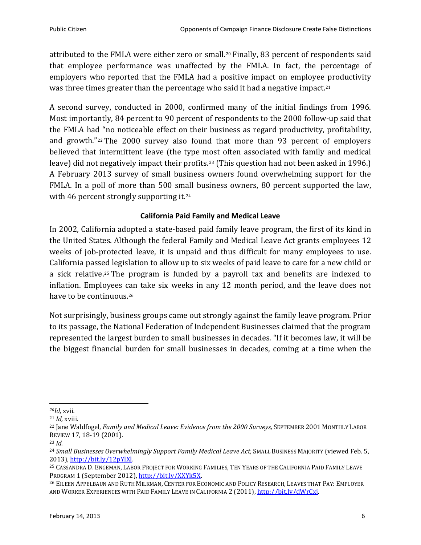attributed to the FMLA were either zero or small.[20](#page-5-0) Finally, 83 percent of respondents said that employee performance was unaffected by the FMLA. In fact, the percentage of employers who reported that the FMLA had a positive impact on employee productivity was three times greater than the percentage who said it had a negative impact.<sup>[21](#page-5-1)</sup>

A second survey, conducted in 2000, confirmed many of the initial findings from 1996. Most importantly, 84 percent to 90 percent of respondents to the 2000 follow-up said that the FMLA had "no noticeable effect on their business as regard productivity, profitability, and growth."[22](#page-5-2) The 2000 survey also found that more than 93 percent of employers believed that intermittent leave (the type [mos](#page-5-3)t often associated with family and medical leave) did not negatively impact their profits.23 (This question had not been asked in 1996.) A February 2013 survey of small business owners found overwhelming support for the FMLA. In a poll of more than 500 small business owners, 80 percent supported the law, with 46 percent strongly supporting it.<sup>[24](#page-5-4)</sup>

## **California Paid Family and Medical Leave**

In 2002, California adopted a state-based paid family leave program, the first of its kind in the United States. Although the federal Family and Medical Leave Act grants employees 12 weeks of job-protected leave, it is unpaid and thus difficult for many employees to use. California pass[ed](#page-5-5) legislation to allow up to six weeks of paid leave to care for a new child or a sick relative.25 The program is funded by a payroll tax and benefits are indexed to inflation. Employees [can](#page-5-6) take six weeks in any 12 month period, and the leave does not have to be continuous.<sup>26</sup>

Not surprisingly, business groups came out strongly against the family leave program. Prior to its passage, the National Federation of Independent Businesses claimed that the program represented the largest burden to small businesses in decades. "If it becomes law, it will be the biggest financial burden for small businesses in decades, coming at a time when the

<span id="page-5-0"></span>*20Id,* xvii*.*

<span id="page-5-1"></span><sup>21</sup> *Id,* xviii.

<span id="page-5-2"></span><sup>&</sup>lt;sup>22</sup> Jane Waldfogel, *Family and Medical Leave: Evidence from the 2000 Surveys*, SEPTEMBER 2001 MONTHLY LABOR REVIEW 17, 18-19 (2001).

<span id="page-5-3"></span><sup>23</sup> *Id.*

<span id="page-5-4"></span><sup>&</sup>lt;sup>24</sup> Small Businesses Overwhelmingly Support Family Medical Leave Act, SMALL BUSINESS MAJORITY (viewed Feb. 5, 2013), [http://bit.ly/12pYlXl.](http://bit.ly/12pYlXl)

<span id="page-5-5"></span><sup>&</sup>lt;sup>25</sup> CASSANDRA D. ENGEMAN, LABOR PROJECT FOR WORKING FAMILIES, TEN YEARS OF THE CALIFORNIA PAID FAMILY LEAVE PROGRAM 1 (September 2012), http://bit.ly/XXYk5X.

<span id="page-5-6"></span><sup>&</sup>lt;sup>26</sup> EILEEN APPELBAUN AND RUTH MILKMAN, CENTER FOR ECONOMIC AND POLICY RESEARCH, LEAVES THAT PAY: EMPLOYER AND WORKER EXPERIENCES WITH PAID FAMILY LEAVE IN CALIFORNIA 2 (2011)[, http://bit.ly/dWrCxj.](http://bit.ly/dWrCxj)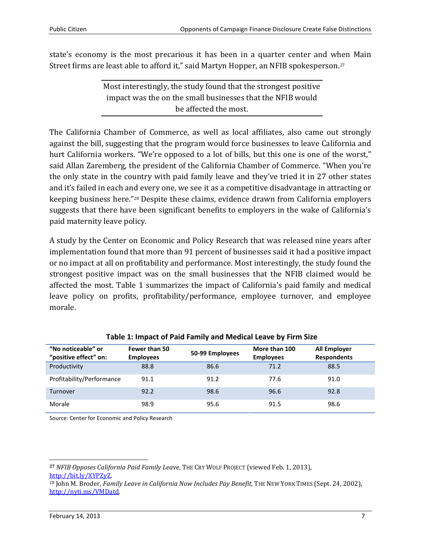state's economy is the most precarious it has been in a quarter center and when Main Street firms are least able to afford it," said Martyn Hopper, an NFIB spokesperson.[27](#page-6-0)

> Most interestingly, the study found that the strongest positive impact was the on the small businesses that the NFIB would be affected the most.

The California Chamber of Commerce, as well as local affiliates, also came out strongly against the bill, suggesting that the program would force businesses to leave California and hurt California workers. "We're opposed to a lot of bills, but this one is one of the worst," said Allan Zaremberg, the president of the California Chamber of Commerce. "When you're the only state in the country with paid family leave and they've tried it in 27 other states and it's failed in each an[d](#page-6-1) every one, we see it as a competitive disadvantage in attracting or keeping business here."28 Despite these claims, evidence drawn from California employers suggests that there have been significant benefits to employers in the wake of California's paid maternity leave policy.

A study by the Center on Economic and Policy Research that was released nine years after implementation found that more than 91 percent of businesses said it had a positive impact or no impact at all on profitability and performance. Most interestingly, the study found the strongest positive impact was on the small businesses that the NFIB claimed would be affected the most. Table 1 summarizes the impact of California's paid family and medical leave policy on profits, profitability/performance, employee turnover, and employee morale.

| "No noticeable" or<br>"positive effect" on: | <b>Fewer than 50</b><br><b>Employees</b> | 50-99 Employees | More than 100<br><b>Employees</b> | <b>All Employer</b><br><b>Respondents</b> |
|---------------------------------------------|------------------------------------------|-----------------|-----------------------------------|-------------------------------------------|
| Productivity                                | 88.8                                     | 86.6            | 71.2                              | 88.5                                      |
| Profitability/Performance                   | 91.1                                     | 91.2            | 77.6                              | 91.0                                      |
| Turnover                                    | 92.2                                     | 98.6            | 96.6                              | 92.8                                      |
| Morale                                      | 98.9                                     | 95.6            | 91.5                              | 98.6                                      |

### **Table 1: Impact of Paid Family and Medical Leave by Firm Size**

Source: Center for Economic and Policy Research

<span id="page-6-0"></span>**<sup>27</sup>** *NFIB Opposes California Paid Family Leave*, THE CRY WOLF PROJECT (viewed Feb. 1, 2013), [http://bit.ly/XYPZyZ.](http://bit.ly/XYPZyZ)

<span id="page-6-1"></span><sup>28</sup> John M. Broder, *Family Leave in California Now Includes Pay Benefit,* THE NEW YORK TIMES (Sept. 24, 2002), [http://nyti.ms/VMDatd.](http://nyti.ms/VMDatd)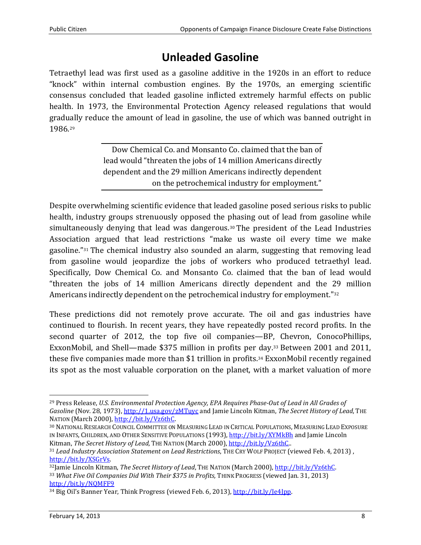# **Unleaded Gasoline**

Tetraethyl lead was first used as a gasoline additive in the 1920s in an effort to reduce "knock" within internal combustion engines. By the 1970s, an emerging scientific consensus concluded that leaded gasoline inflicted extremely harmful effects on public health. In 1973, the Environmental Protection Agency released regulations that would gradu[al](#page-7-0)ly reduce the amount of lead in gasoline, the use of which was banned outright in 1986.29

> Dow Chemical Co. and Monsanto Co. claimed that the ban of lead would "threaten the jobs of 14 million Americans directly dependent and the 29 million Americans indirectly dependent on the petrochemical industry for employment."

Despite overwhelming scientific evidence that leaded gasoline posed serious risks to public health, industry groups strenuously opposed the [ph](#page-7-1)asing out of lead from gasoline while simultaneously denying that lead was dangerous.30 The president of the Lead Industries Association argued that lead restrictions "make us waste oil every time we make gasoline."[31](#page-7-2) The chemical industry also sounded an alarm, suggesting that removing lead from gasoline would jeopardize the jobs of workers who produced tetraethyl lead. Specifically, Dow Chemical Co. and Monsanto Co. claimed that the ban of lead would "threaten the jobs of 14 million Americans directly dependent and the 29 million Americans indirectly dependent on the petrochemical industry for employment."[32](#page-7-3)

These predictions did not remotely prove accurate. The oil and gas industries have continued to flourish. In recent years, they have repeatedly posted record profits. In the second quarter of 2012, the top five oil companies—BP[,](#page-7-4) Chevron, ConocoPhillips, ExxonMobil, and Shell—made \$375 million in profits per day.33 Between 2001 and 2011, these five companies made more than \$1 trillion in profits.[34](#page-7-5) ExxonMobil recently regained its spot as the most valuable corporation on the planet, with a market valuation of more

<span id="page-7-0"></span> <sup>29</sup> Press Release, *U.S. Environmental Protection Agency, EPA Requires Phase-Out of Lead in All Grades of Gasoline* (Nov. 28, 1973),<http://1.usa.gov/zMTuyc> and Jamie Lincoln Kitman, *The Secret History of Lead*, THE NATION (March 2000), [http://bit.ly/Vz6thC.](http://bit.ly/Vz6thC)

<span id="page-7-1"></span><sup>30</sup> NATIONAL RESEARCH COUNCIL COMMITTEE ON MEASURING LEAD IN CRITICAL POPULATIONS, MEASURING LEAD EXPOSURE IN INFANTS, CHILDREN, AND OTHER SENSITIVE POPULATIONS (1993)[, http://bit.ly/XYMkBh](http://bit.ly/XYMkBh) and Jamie Lincoln Kitman, *The Secret History of Lead*, THE NATION (March 2000), [http://bit.ly/Vz6thC.](http://bit.ly/Vz6thC)..

<span id="page-7-2"></span><sup>31</sup> *Lead Industry Association Statement on Lead Restrictions*, THE CRY WOLF PROJECT (viewed Feb. 4, 2013) , [http://bit.ly/XSGrVs.](http://bit.ly/XSGrVs)

<span id="page-7-4"></span><span id="page-7-3"></span><sup>32</sup>Jamie Lincoln Kitman, *The Secret History of Lead*, THE NATION (March 2000)[, http://bit.ly/Vz6thC.](http://bit.ly/Vz6thC) <sup>33</sup> *What Five Oil Companies Did With Their \$375 in Profits,* THINK PROGRESS (viewed Jan. 31, 2013) <http://bit.ly/NQMFF9>

<span id="page-7-5"></span><sup>&</sup>lt;sup>34</sup> Big Oil's Banner Year, Think Progress (viewed Feb. 6, 2013), http://bit.ly/Je4Jpp.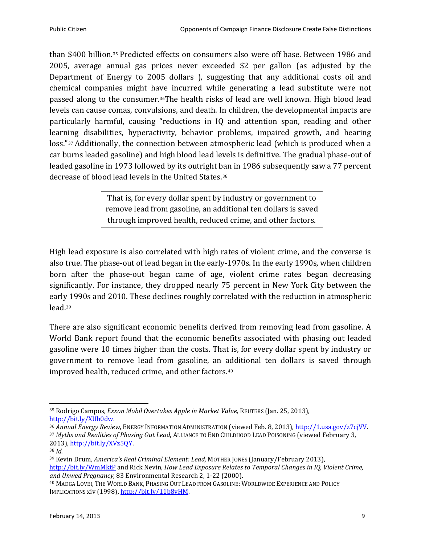than \$400 billion.[35](#page-8-0) Predicted effects on consumers also were off base. Between 1986 and 2005, average annual gas prices never exceeded \$2 per gallon (as adjusted by the Department of Energy to 2005 dollars ), suggesting that any additional costs oil and chemical companies might have incurred while generating a lead substitute were not passed along to the consumer.[36T](#page-8-1)he health risks of lead are well known. High blood lead levels can cause comas, convulsions, and death. In children, the developmental impacts are particularly harmful, causing "reductions in IQ and attention span, reading and other learn[in](#page-8-2)g disabilities, hyperactivity, behavior problems, impaired growth, and hearing loss."<sup>37</sup> Additionally, the connection between atmospheric lead (which is produced when a car burns leaded gasoline) and high blood lead levels is definitive. The gradual phase-out of leaded gasoline in 1973 followed by its outright ban in 1986 subsequently saw a 77 percent decrease of blood lead levels in the United States.[38](#page-8-3)

> That is, for every dollar spent by industry or government to remove lead from gasoline, an additional ten dollars is saved through improved health, reduced crime, and other factors.

High lead exposure is also correlated with high rates of violent crime, and the converse is also true. The phase-out of lead began in the early-1970s. In the early 1990s, when children born after the phase-out began came of age, violent crime rates began decreasing significantly. For instance, they dropped nearly 75 percent in New York City between the earl[y 1](#page-8-4)990s and 2010. These declines roughly correlated with the reduction in atmospheric lead.39

There are also significant economic benefits derived from removing lead from gasoline. A World Bank report found that the economic benefits associated with phasing out leaded gasoline were 10 times higher than the costs. That is, for every dollar spent by industry or government to remove lead from gasoline, an [ad](#page-8-5)ditional ten dollars is saved through improved health, reduced crime, and other factors.40

<span id="page-8-0"></span> <sup>35</sup> Rodrigo Campos, *Exxon Mobil Overtakes Apple in Market Value,* REUTERS (Jan. 25, 2013),

<span id="page-8-2"></span><span id="page-8-1"></span><sup>&</sup>lt;sup>36</sup> Annual Energy Review, ENERGY INFORMATION ADMINISTRATION (viewed Feb. 8, 2013), <u>http://1.usa.gov/z7cjVV</u>.<br><sup>37</sup> Myths and Realities of Phasing Out Lead, ALLIANCE TO END CHILDHOOD LEAD POISONING (viewed February 3, 2013), [http://bit.ly/XVz5QY.](http://bit.ly/XVz5QY)

<span id="page-8-3"></span><sup>38</sup> *Id.*

<span id="page-8-4"></span><sup>39</sup> Kevin Drum, *America's Real Criminal Element: Lead,* MOTHER JONES (January/February 2013), <http://bit.ly/WmMktP> and Rick Nevin, *How Lead Exposure Relates to Temporal Changes in IQ, Violent Crime,* and Unwed Pregnancy, 83 Environmental Research 2, 1-22 (2000).

<span id="page-8-5"></span><sup>&</sup>lt;sup>40</sup> MADGA LOVEI, THE WORLD BANK, PHASING OUT LEAD FROM GASOLINE: WORLDWIDE EXPERIENCE AND POLICY IMPLICATIONS xiv (1998)[, http://bit.ly/11b8yHM.](http://bit.ly/11b8yHM)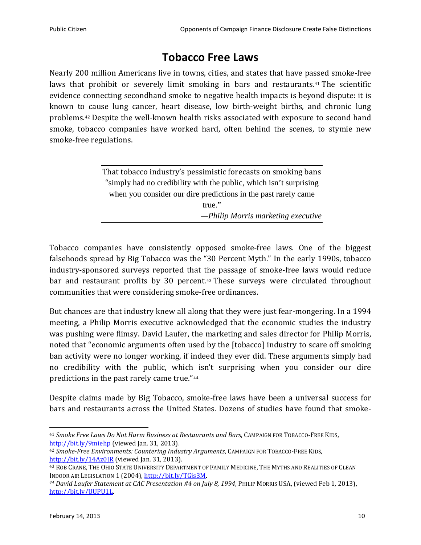## **Tobacco Free Laws**

Nearly 200 million Americans live in towns, cities, and states that have passed smoke-free laws that prohibit or severely limit smoking in bars and restaurants.<sup>[41](#page-9-0)</sup> The scientific evidence connecting secondhand smoke to negative health impacts is beyond dispute: it is known to [c](#page-9-1)ause lung cancer, heart disease, low birth-weight births, and chronic lung problems.42 Despite the well-known health risks associated with exposure to second hand smoke, tobacco companies have worked hard, often behind the scenes, to stymie new smoke-free regulations.

| That tobacco industry's pessimistic forecasts on smoking bans      |  |  |  |  |
|--------------------------------------------------------------------|--|--|--|--|
| "simply had no credibility with the public, which isn't surprising |  |  |  |  |
| when you consider our dire predictions in the past rarely came     |  |  |  |  |
| $true.$ "                                                          |  |  |  |  |
| -Philip Morris marketing executive                                 |  |  |  |  |

Tobacco companies have consistently opposed smoke-free laws. One of the biggest falsehoods spread by Big Tobacco was the "30 Percent Myth." In the early 1990s, tobacco industry-sponsored surveys reported that the passage of smoke-free laws would reduce bar and restaurant profits by 30 percent.<sup>[43](#page-9-2)</sup> These surveys were circulated throughout communities that were considering smoke-free ordinances.

But chances are that industry knew all along that they were just fear-mongering. In a 1994 meeting, a Philip Morris executive acknowledged that the economic studies the industry was pushing were flimsy. David Laufer, the marketing and sales director for Philip Morris, noted that "economic arguments often used by the [tobacco] industry to scare off smoking ban activity were no longer working, if indeed they ever did. These arguments simply had no credibility with the public, which [i](#page-9-3)sn't surprising when you consider our dire predictions in the past rarely came true."44

Despite claims made by Big Tobacco, smoke-free laws have been a universal success for bars and restaurants across the United States. Dozens of studies have found that smoke-

<span id="page-9-0"></span> <sup>41</sup> *Smoke Free Laws Do Not Harm Business at Restaurants and Bars*, CAMPAIGN FOR TOBACCO-FREE KIDS, <http://bit.ly/9miehp> (viewed Jan. 31, 2013).

<span id="page-9-1"></span><sup>42</sup> *Smoke-Free Environments: Countering Industry Arguments*, CAMPAIGN FOR TOBACCO-FREE KIDS, <http://bit.ly/14Az0JR> (viewed Jan. 31, 2013).

<span id="page-9-2"></span><sup>&</sup>lt;sup>43</sup> ROB CRANE, THE OHIO STATE UNIVERSITY DEPARTMENT OF FAMILY MEDICINE, THE MYTHS AND REALITIES OF CLEAN<br>Indoor air Legislation 1 (2004), http://bit.ly/TGis3M.

<span id="page-9-3"></span><sup>&</sup>lt;sup>44</sup> David Laufer Statement at CAC Presentation #4 on July 8, 1994, PHILIP MORRIS USA, (viewed Feb 1, 2013), [http://bit.ly/UUPU1L.](http://bit.ly/UUPU1L)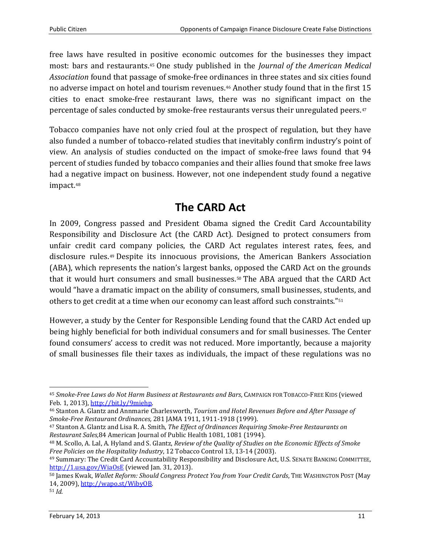free laws have resulted in positive economic outcomes for the businesses they impact most: bars and restaurants.[45](#page-10-0) One study published in the *Journal of the American Medical Association* found that passage of smoke-free ordinances in three states and six cities found no adverse impact on hotel and tourism revenues.[46](#page-10-1) Another study found that in the first 15 cities to enact smoke-free restaurant laws, there was no significant impact on [th](#page-10-2)e percentage of sales conducted by smoke-free restaurants versus their unregulated peers.47

Tobacco companies have not only cried foul at the prospect of regulation, but they have also funded a number of tobacco-related studies that inevitably confirm industry's point of view. An analysis of studies conducted on the impact of smoke-free laws found that 94 percent of studies funded by tobacco companies and their allies found that smoke free laws had a negative impact on business. However, not one independent study found a negative impact.[48](#page-10-3)

# **The CARD Act**

In 2009, Congress passed and President Obama signed the Credit Card Accountability Responsibility and Disclosure Act (the CARD Act). Designed to protect consumers from unfair credit ca[rd](#page-10-4) company policies, the CARD Act regulates interest rates, fees, and disclosure rules.49 Despite its innocuous provisions, the American Bankers Association (ABA), which represents the nation's largest banks, opposed the CARD Act on the grounds that it would hurt consumers and small businesses.[50](#page-10-5) The ABA argued that the CARD Act would "have a dramatic impact on the ability of consumers, small businesses, stu[den](#page-10-6)ts, and others to get credit at a time when our economy can least afford such constraints."51

However, a study by the Center for Responsible Lending found that the CARD Act ended up being highly beneficial for both individual consumers and for small businesses. The Center found consumers' access to credit was not reduced. More importantly, because a majority of small businesses file their taxes as individuals, the impact of these regulations was no

<span id="page-10-0"></span> <sup>45</sup> *Smoke-Free Laws do Not Harm Business at Restaurants and Bars*, CAMPAIGN FOR TOBACCO-FREE KIDS (viewed Feb. 1, 2013), [http://bit.ly/9miehp.](http://bit.ly/9miehp)

<span id="page-10-1"></span><sup>46</sup> Stanton A. Glantz and Annmarie Charlesworth, *Tourism and Hotel Revenues Before and After Passage of Smoke-Free Restaurant Ordinances,* 281 JAMA 1911, 1911-1918 (1999).

<span id="page-10-2"></span><sup>47</sup> Stanton A. Glantz and Lisa R. A. Smith, *The Effect of Ordinances Requiring Smoke-Free Restaurants on Restaurant Sales,*84 American Journal of Public Health 1081, 1081 (1994).

<span id="page-10-3"></span><sup>48</sup> M. Scollo, A. Lal, A. Hyland and S. Glantz, *Review of the Quality of Studies on the Economic Effects of Smoke Free Policies on the Hospitality Industry*, 12 Tobacco Control 13, 13-14 (2003).

<span id="page-10-4"></span><sup>49</sup> Summary: The Credit Card Accountability Responsibility and Disclosure Act, U.S. SENATE BANKING COMMITTEE, <http://1.usa.gov/WiaOsE> (viewed Jan. 31, 2013).

<span id="page-10-6"></span><span id="page-10-5"></span><sup>50</sup> James Kwak, *Wallet Reform: Should Congress Protect You from Your Credit Cards*, THE WASHINGTON POST (May 14, 2009)[, http://wapo.st/WibyOB.](http://wapo.st/WibyOB) 51 *Id.*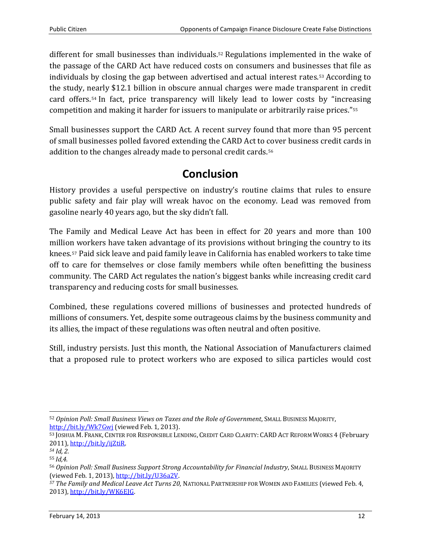different for small businesses than individuals.<sup>[52](#page-11-0)</sup> Regulations implemented in the wake of the passage of the CARD Act have reduced costs on consumers and busine[sse](#page-11-1)s that file as individuals by closing the gap between advertised and actual interest rates.53 According to the study, [nea](#page-11-2)rly \$12.1 billion in obscure annual charges were made transparent in credit card offers.54 In fact, price transparency will likely lead to lower costs by "incre[as](#page-11-3)ing competition and making it harder for issuers to manipulate or arbitrarily raise prices."55

Small businesses support the CARD Act. A recent survey found that more than 95 percent of small businesses polled favored extending the CARD Act to [co](#page-11-4)ver business credit cards in addition to the changes already made to personal credit cards.56

## **Conclusion**

History provides a useful perspective on industry's routine claims that rules to ensure public safety and fair play will wreak havoc on the economy. Lead was removed from gasoline nearly 40 years ago, but the sky didn't fall.

The Family and Medical Leave Act has been in effect for 20 years and more than 100 million workers have taken advantage of its provisions without bringing the country to its knees.[57](#page-11-5) Paid sick leave and paid family leave in California has enabled workers to take time off to care for themselves or close family members while often benefitting the business community. The CARD Act regulates the nation's biggest banks while increasing credit card transparency and reducing costs for small businesses.

Combined, these regulations covered millions of businesses and protected hundreds of millions of consumers. Yet, despite some outrageous claims by the business community and its allies, the impact of these regulations was often neutral and often positive.

Still, industry persists. Just this month, the National Association of Manufacturers claimed that a proposed rule to protect workers who are exposed to silica particles would cost

<span id="page-11-0"></span> <sup>52</sup> *Opinion Poll: Small Business Views on Taxes and the Role of Government*, SMALL BUSINESS MAJORITY, <http://bit.ly/Wk7Gwj> (viewed Feb. 1, 2013).

<span id="page-11-1"></span><sup>53</sup> JOSHUA M. FRANK, CENTER FOR RESPONSIBLE LENDING, CREDIT CARD CLARITY: CARD ACT REFORM WORKS 4 (February 2011), [http://bit.ly/ijZtiR.](http://bit.ly/ijZtiR) *<sup>54</sup> Id, 2.*

<span id="page-11-2"></span>

<span id="page-11-3"></span><sup>55</sup> *Id,4.*

<span id="page-11-4"></span><sup>&</sup>lt;sup>56</sup> Opinion Poll: Small Business Support Strong Accountability for Financial Industry, SMALL BUSINESS MAJORITY<br>(viewed Feb. 1, 2013), <u>http://bit.ly/U36a2V</u>.

<span id="page-11-5"></span><sup>&</sup>lt;sup>57</sup> The Family and Medical Leave Act Turns 20, NATIONAL PARTNERSHIP FOR WOMEN AND FAMILIES (viewed Feb. 4, 2013), [http://bit.ly/WK6EJG.](http://bit.ly/WK6EJG)